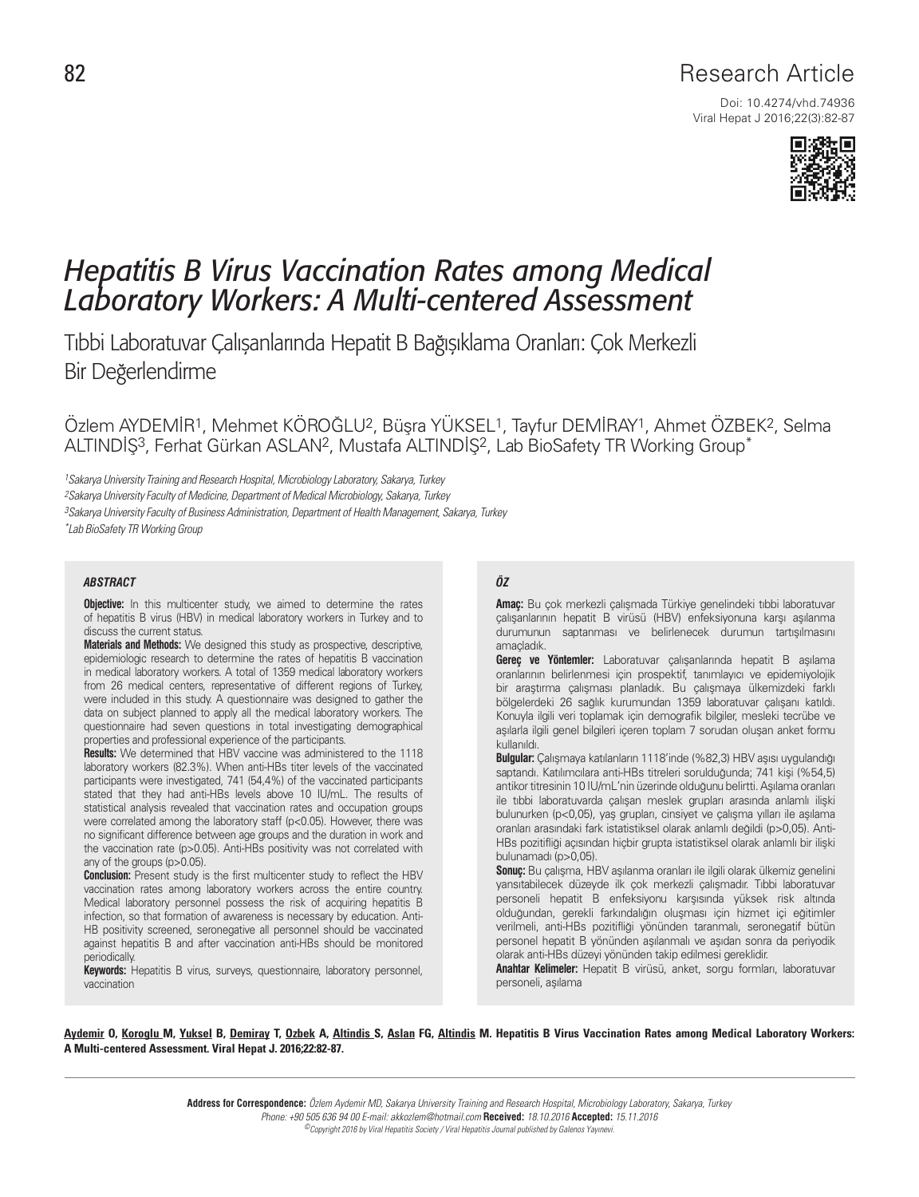# 82 **Research Article**

Doi: 10.4274/vhd.74936 Viral Hepat J 2016;22(3):82-87



# *Hepatitis B Virus Vaccination Rates among Medical Laboratory Workers: A Multi-centered Assessment*

Tıbbi Laboratuvar Çalışanlarında Hepatit B Bağışıklama Oranları: Çok Merkezli Bir Değerlendirme

Özlem AYDEMİR1, Mehmet KÖROĞLU2, Büşra YÜKSEL1, Tayfur DEMİRAY1, Ahmet ÖZBEK2, Selma ALTINDİŞ3, Ferhat Gürkan ASLAN2, Mustafa ALTINDİŞ2, Lab BioSafety TR Working Group\*

1Sakarya University Training and Research Hospital, Microbiology Laboratory, Sakarya, Turkey 2Sakarya University Faculty of Medicine, Department of Medical Microbiology, Sakarya, Turkey 3Sakarya University Faculty of Business Administration, Department of Health Management, Sakarya, Turkey \*Lab BioSafety TR Working Group

#### *ABSTRACT ÖZ*

**Objective:** In this multicenter study, we aimed to determine the rates of hepatitis B virus (HBV) in medical laboratory workers in Turkey and to discuss the current status.

**Materials and Methods:** We designed this study as prospective, descriptive, epidemiologic research to determine the rates of hepatitis B vaccination in medical laboratory workers. A total of 1359 medical laboratory workers from 26 medical centers, representative of different regions of Turkey, were included in this study. A questionnaire was designed to gather the data on subject planned to apply all the medical laboratory workers. The questionnaire had seven questions in total investigating demographical properties and professional experience of the participants.

**Results:** We determined that HBV vaccine was administered to the 1118 laboratory workers (82.3%). When anti-HBs titer levels of the vaccinated participants were investigated, 741 (54,4%) of the vaccinated participants stated that they had anti-HBs levels above 10 IU/mL. The results of statistical analysis revealed that vaccination rates and occupation groups were correlated among the laboratory staff (p<0.05). However, there was no significant difference between age groups and the duration in work and the vaccination rate (p>0.05). Anti-HBs positivity was not correlated with any of the groups (p>0.05).

**Conclusion:** Present study is the first multicenter study to reflect the HBV vaccination rates among laboratory workers across the entire country. Medical laboratory personnel possess the risk of acquiring hepatitis B infection, so that formation of awareness is necessary by education. Anti-HB positivity screened, seronegative all personnel should be vaccinated against hepatitis B and after vaccination anti-HBs should be monitored periodically.

**Keywords:** Hepatitis B virus, surveys, questionnaire, laboratory personnel, vaccination

**Amaç:** Bu çok merkezli çalışmada Türkiye genelindeki tıbbi laboratuvar çalışanlarının hepatit B virüsü (HBV) enfeksiyonuna karşı aşılanma durumunun saptanması ve belirlenecek durumun tartışılmasını amaçladık.

**Gereç ve Yöntemler:** Laboratuvar çalışanlarında hepatit B aşılama oranlarının belirlenmesi için prospektif, tanımlayıcı ve epidemiyolojik bir araştırma çalışması planladık. Bu çalışmaya ülkemizdeki farklı bölgelerdeki 26 sağlık kurumundan 1359 laboratuvar çalışanı katıldı. Konuyla ilgili veri toplamak için demografik bilgiler, mesleki tecrübe ve aşılarla ilgili genel bilgileri içeren toplam 7 sorudan oluşan anket formu kullanıldı.

**Bulgular:** Çalışmaya katılanların 1118'inde (%82,3) HBV aşısı uygulandığı saptandı. Katılımcılara anti-HBs titreleri sorulduğunda; 741 kişi (%54,5) antikor titresinin 10 IU/mL'nin üzerinde olduğunu belirtti. Aşılama oranları ile tıbbi laboratuvarda çalışan meslek grupları arasında anlamlı ilişki bulunurken (p<0,05), yaş grupları, cinsiyet ve çalışma yılları ile aşılama oranları arasındaki fark istatistiksel olarak anlamlı değildi (p>0,05). Anti-HBs pozitifliği açısından hiçbir grupta istatistiksel olarak anlamlı bir ilişki bulunamadı (p>0,05).

**Sonuç:** Bu çalışma, HBV aşılanma oranları ile ilgili olarak ülkemiz genelini yansıtabilecek düzeyde ilk çok merkezli çalışmadır. Tıbbi laboratuvar personeli hepatit B enfeksiyonu karşısında yüksek risk altında olduğundan, gerekli farkındalığın oluşması için hizmet içi eğitimler verilmeli, anti-HBs pozitifliği yönünden taranmalı, seronegatif bütün personel hepatit B yönünden aşılanmalı ve aşıdan sonra da periyodik olarak anti-HBs düzeyi yönünden takip edilmesi gereklidir.

**Anahtar Kelimeler:** Hepatit B virüsü, anket, sorgu formları, laboratuvar personeli, aşılama

Aydemir O, Koroglu M, Yuksel B, Demiray T, Ozbek A, Altindis S, Aslan FG, Altindis M. Hepatitis B Virus Vaccination Rates among Medical Laboratory Workers: A Multi-centered Assessment. Viral Hepat J. 2016;22:82-87.

> **Address for Correspondence:** Özlem Aydemir MD, Sakarya University Training and Research Hospital, Microbiology Laboratory, Sakarya, Turkey Phone: +90 505 636 94 00 E-mail: akkozlem@hotmail.com **Received:** 18.10.2016 **Accepted:** 15.11.2016

©Copyright 2016 by Viral Hepatitis Society / Viral Hepatitis Journal published by Galenos Yayınevi.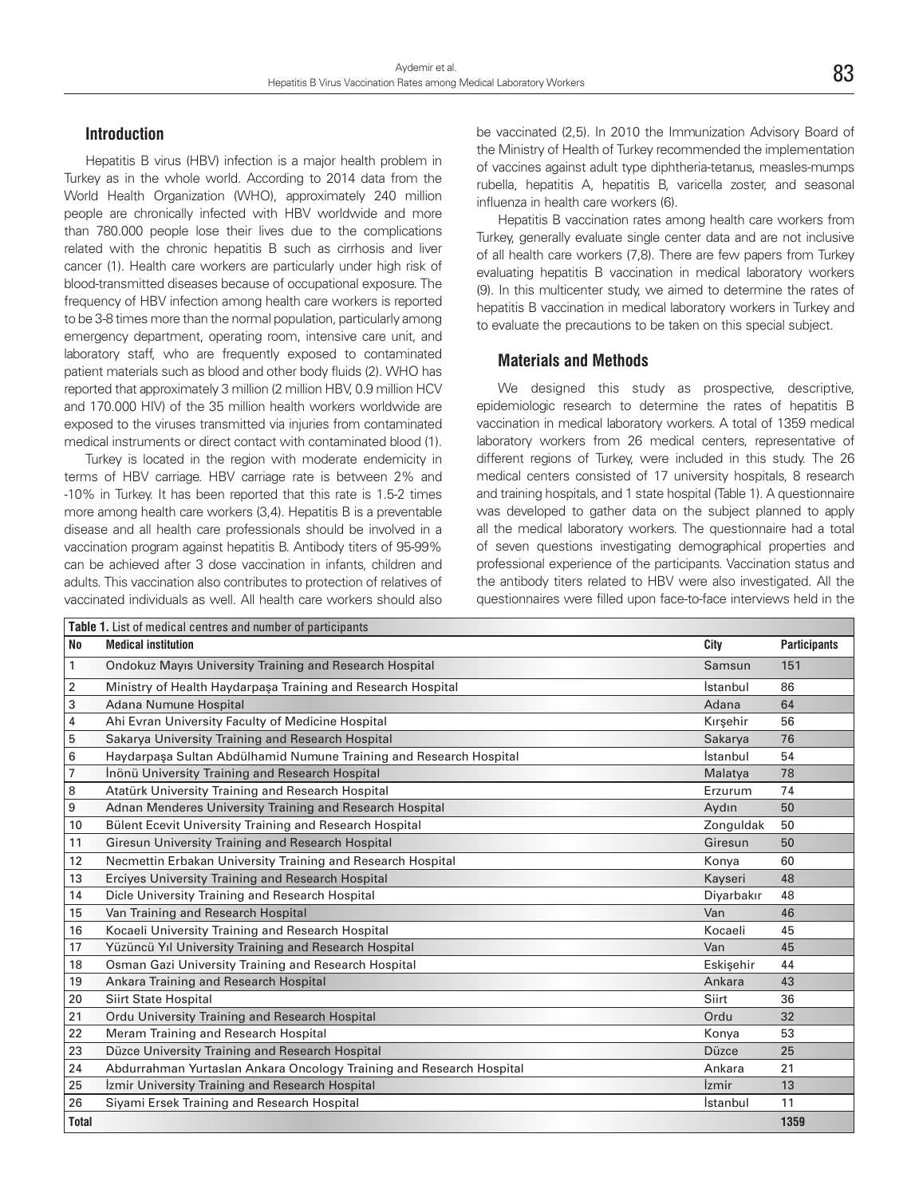#### **Introduction**

Hepatitis B virus (HBV) infection is a major health problem in Turkey as in the whole world. According to 2014 data from the World Health Organization (WHO), approximately 240 million people are chronically infected with HBV worldwide and more than 780.000 people lose their lives due to the complications related with the chronic hepatitis B such as cirrhosis and liver cancer (1). Health care workers are particularly under high risk of blood-transmitted diseases because of occupational exposure. The frequency of HBV infection among health care workers is reported to be 3-8 times more than the normal population, particularly among emergency department, operating room, intensive care unit, and laboratory staff, who are frequently exposed to contaminated patient materials such as blood and other body fluids (2). WHO has reported that approximately 3 million (2 million HBV, 0.9 million HCV and 170.000 HIV) of the 35 million health workers worldwide are exposed to the viruses transmitted via injuries from contaminated medical instruments or direct contact with contaminated blood (1).

Turkey is located in the region with moderate endemicity in terms of HBV carriage. HBV carriage rate is between 2% and -10% in Turkey. It has been reported that this rate is 1.5-2 times more among health care workers (3,4). Hepatitis B is a preventable disease and all health care professionals should be involved in a vaccination program against hepatitis B. Antibody titers of 95-99% can be achieved after 3 dose vaccination in infants, children and adults. This vaccination also contributes to protection of relatives of vaccinated individuals as well. All health care workers should also

be vaccinated (2,5). In 2010 the Immunization Advisory Board of the Ministry of Health of Turkey recommended the implementation of vaccines against adult type diphtheria-tetanus, measles-mumps rubella, hepatitis A, hepatitis B, varicella zoster, and seasonal influenza in health care workers (6).

Hepatitis B vaccination rates among health care workers from Turkey, generally evaluate single center data and are not inclusive of all health care workers (7,8). There are few papers from Turkey evaluating hepatitis B vaccination in medical laboratory workers (9). In this multicenter study, we aimed to determine the rates of hepatitis B vaccination in medical laboratory workers in Turkey and to evaluate the precautions to be taken on this special subject.

#### **Materials and Methods**

We designed this study as prospective, descriptive, epidemiologic research to determine the rates of hepatitis B vaccination in medical laboratory workers. A total of 1359 medical laboratory workers from 26 medical centers, representative of different regions of Turkey, were included in this study. The 26 medical centers consisted of 17 university hospitals, 8 research and training hospitals, and 1 state hospital (Table 1). A questionnaire was developed to gather data on the subject planned to apply all the medical laboratory workers. The questionnaire had a total of seven questions investigating demographical properties and professional experience of the participants. Vaccination status and the antibody titers related to HBV were also investigated. All the questionnaires were filled upon face-to-face interviews held in the

| Table 1. List of medical centres and number of participants |                                                                      |                            |                     |  |  |  |
|-------------------------------------------------------------|----------------------------------------------------------------------|----------------------------|---------------------|--|--|--|
| <b>No</b>                                                   | <b>Medical institution</b>                                           | City                       | <b>Participants</b> |  |  |  |
| $\mathbf{1}$                                                | <b>Ondokuz Mayıs University Training and Research Hospital</b>       | Samsun                     | 151                 |  |  |  |
| 2                                                           | Ministry of Health Haydarpaşa Training and Research Hospital         | İstanbul                   | 86                  |  |  |  |
| 3                                                           | Adana Numune Hospital                                                | Adana                      | 64                  |  |  |  |
| 4                                                           | Ahi Evran University Faculty of Medicine Hospital                    | Kırşehir                   | 56                  |  |  |  |
| 5                                                           | Sakarya University Training and Research Hospital                    | Sakarya                    | 76                  |  |  |  |
| 6                                                           | Haydarpaşa Sultan Abdülhamid Numune Training and Research Hospital   | İstanbul                   | 54                  |  |  |  |
| 7                                                           | Inönü University Training and Research Hospital                      | Malatya                    | 78                  |  |  |  |
| 8                                                           | Atatürk University Training and Research Hospital                    | Erzurum                    | 74                  |  |  |  |
| 9                                                           | Adnan Menderes University Training and Research Hospital             | Aydın                      | 50                  |  |  |  |
| 10                                                          | Bülent Ecevit University Training and Research Hospital              | Zonguldak                  | 50                  |  |  |  |
| 11                                                          | Giresun University Training and Research Hospital                    | Giresun                    | 50                  |  |  |  |
| 12                                                          | Necmettin Erbakan University Training and Research Hospital          | Konya                      | 60                  |  |  |  |
| 13                                                          | Erciyes University Training and Research Hospital                    | Kayseri                    | 48                  |  |  |  |
| 14                                                          | Dicle University Training and Research Hospital                      | Diyarbakır                 | 48                  |  |  |  |
| 15                                                          | Van Training and Research Hospital                                   | Van                        | 46                  |  |  |  |
| 16                                                          | Kocaeli University Training and Research Hospital                    | Kocaeli                    | 45                  |  |  |  |
| 17                                                          | Yüzüncü Yıl University Training and Research Hospital                | Van                        | 45                  |  |  |  |
| 18                                                          | Osman Gazi University Training and Research Hospital                 | Eskisehir                  | 44                  |  |  |  |
| 19                                                          | Ankara Training and Research Hospital                                | Ankara                     | 43                  |  |  |  |
| 20                                                          | <b>Siirt State Hospital</b>                                          | Siirt                      | 36                  |  |  |  |
| 21                                                          | Ordu University Training and Research Hospital                       | Ordu                       | 32                  |  |  |  |
| 22                                                          | Meram Training and Research Hospital                                 | Konya                      | 53                  |  |  |  |
| 23                                                          | Düzce University Training and Research Hospital                      | <b>Düzce</b>               | 25                  |  |  |  |
| 24                                                          | Abdurrahman Yurtaslan Ankara Oncology Training and Research Hospital | Ankara                     | 21                  |  |  |  |
| 25                                                          | Izmir University Training and Research Hospital                      | <i><u><b>Izmir</b></u></i> | 13                  |  |  |  |
| 26                                                          | Siyami Ersek Training and Research Hospital                          | <i>s</i> tanbul            | 11                  |  |  |  |
| <b>Total</b>                                                |                                                                      |                            | 1359                |  |  |  |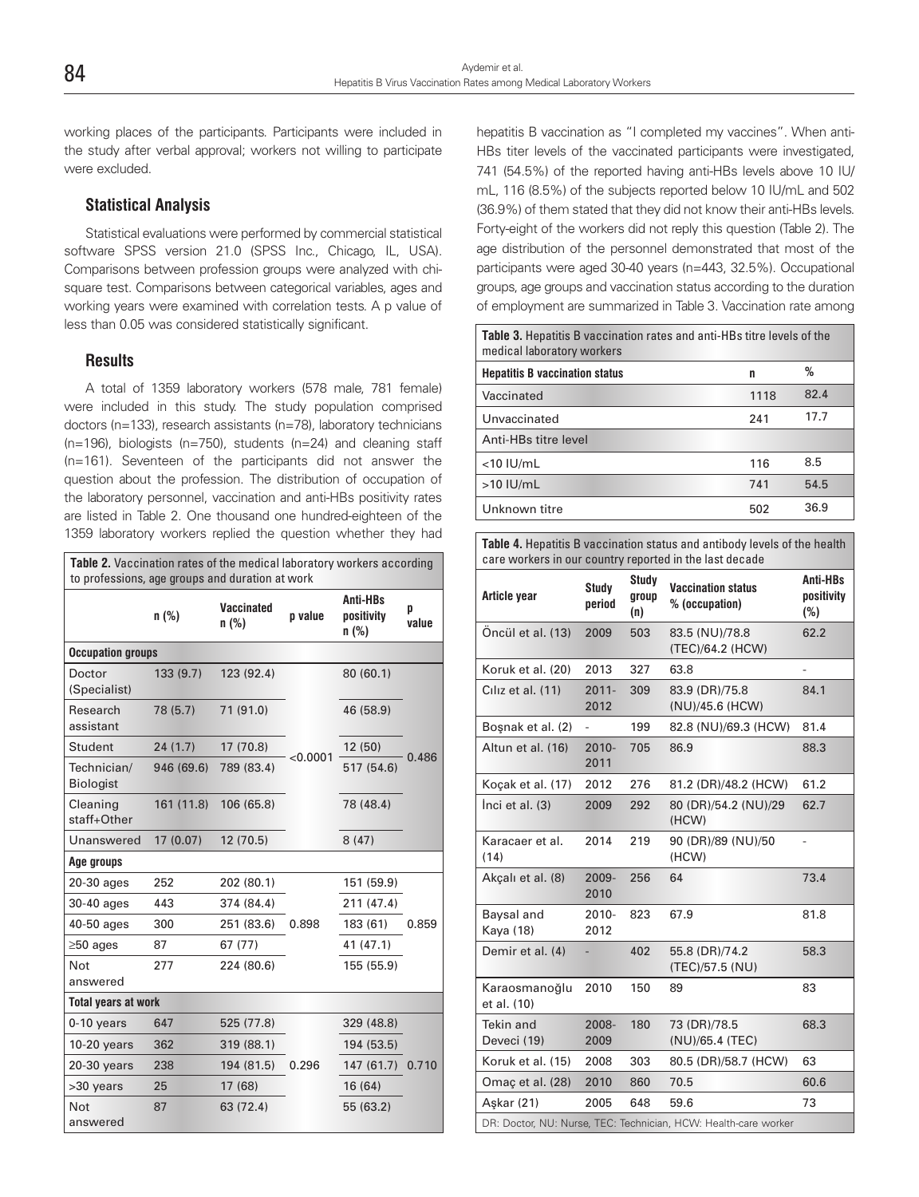working places of the participants. Participants were included in the study after verbal approval; workers not willing to participate were excluded.

# **Statistical Analysis**

Statistical evaluations were performed by commercial statistical software SPSS version 21.0 (SPSS Inc., Chicago, IL, USA). Comparisons between profession groups were analyzed with chisquare test. Comparisons between categorical variables, ages and working years were examined with correlation tests. A p value of less than 0.05 was considered statistically significant.

## **Results**

A total of 1359 laboratory workers (578 male, 781 female) were included in this study. The study population comprised doctors (n=133), research assistants (n=78), laboratory technicians (n=196), biologists (n=750), students (n=24) and cleaning staff (n=161). Seventeen of the participants did not answer the question about the profession. The distribution of occupation of the laboratory personnel, vaccination and anti-HBs positivity rates are listed in Table 2. One thousand one hundred-eighteen of the 1359 laboratory workers replied the question whether they had

| <b>Table 2.</b> Vaccination rates of the medical laboratory workers according<br>to professions, age groups and duration at work |            |                     |          |                                   |            |
|----------------------------------------------------------------------------------------------------------------------------------|------------|---------------------|----------|-----------------------------------|------------|
|                                                                                                                                  | n(%)       | Vaccinated<br>n (%) | p value  | Anti-HBs<br>positivity<br>$n$ (%) | p<br>value |
| <b>Occupation groups</b>                                                                                                         |            |                     |          |                                   |            |
| Doctor<br>(Specialist)                                                                                                           | 133(9.7)   | 123 (92.4)          |          | 80 (60.1)                         | 0.486      |
| Research<br>assistant                                                                                                            | 78 (5.7)   | 71(91.0)            |          | 46 (58.9)                         |            |
| Student                                                                                                                          | 24(1.7)    | 17 (70.8)           |          | 12(50)                            |            |
| Technician/<br><b>Biologist</b>                                                                                                  | 946 (69.6) | 789 (83.4)          | < 0.0001 | 517 (54.6)                        |            |
| Cleaning<br>staff+Other                                                                                                          | 161 (11.8) | 106 (65.8)          |          | 78 (48.4)                         |            |
| Unanswered                                                                                                                       | 17(0.07)   | 12 (70.5)           |          | 8(47)                             |            |
| Age groups                                                                                                                       |            |                     |          |                                   |            |
| 20-30 ages                                                                                                                       | 252        | 202 (80.1)          |          | 151 (59.9)                        |            |
| 30-40 ages                                                                                                                       | 443        | 374 (84.4)          |          | 211 (47.4)                        |            |
| 40-50 ages                                                                                                                       | 300        | 251 (83.6)          | 0.898    | 183 (61)                          | 0.859      |
| $\geq 50$ ages                                                                                                                   | 87         | 67 (77)             |          | 41 (47.1)                         |            |
| Not<br>answered                                                                                                                  | 277        | 224 (80.6)          |          | 155 (55.9)                        |            |
| <b>Total years at work</b>                                                                                                       |            |                     |          |                                   |            |
| $0-10$ years                                                                                                                     | 647        | 525 (77.8)          |          | 329 (48.8)                        |            |
| $10-20$ years                                                                                                                    | 362        | 319 (88.1)          |          | 194 (53.5)                        |            |
| $20-30$ years                                                                                                                    | 238        | 194 (81.5)          | 0.296    | 147(61.7)                         | 0.710      |
| >30 years                                                                                                                        | 25         | 17 (68)             |          | 16 (64)                           |            |
| <b>Not</b><br>answered                                                                                                           | 87         | 63 (72.4)           |          | 55 (63.2)                         |            |

hepatitis B vaccination as "I completed my vaccines". When anti-HBs titer levels of the vaccinated participants were investigated, 741 (54.5%) of the reported having anti-HBs levels above 10 IU/ mL, 116 (8.5%) of the subjects reported below 10 IU/mL and 502 (36.9%) of them stated that they did not know their anti-HBs levels. Forty-eight of the workers did not reply this question (Table 2). The age distribution of the personnel demonstrated that most of the participants were aged 30-40 years (n=443, 32.5%). Occupational groups, age groups and vaccination status according to the duration of employment are summarized in Table 3. Vaccination rate among

| Table 3. Hepatitis B vaccination rates and anti-HBs titre levels of the<br>medical laboratory workers |      |      |  |  |
|-------------------------------------------------------------------------------------------------------|------|------|--|--|
| <b>Hepatitis B vaccination status</b>                                                                 | n    | ℅    |  |  |
| Vaccinated                                                                                            | 1118 | 82.4 |  |  |
| Unvaccinated                                                                                          | 241  | 17.7 |  |  |
| Anti-HBs titre level                                                                                  |      |      |  |  |
| $<$ 10 IU/mL                                                                                          | 116  | 8.5  |  |  |
| $>10$ IU/mL                                                                                           | 741  | 54.5 |  |  |
| Unknown titre                                                                                         | 502  | 36.9 |  |  |

**Table 4.** Hepatitis B vaccination status and antibody levels of the health care workers in our country reported in the last decade

| Article year                                                    | Study<br>period          | <b>Study</b><br>group<br>(n) | <b>Vaccination status</b><br>% (occupation) | Anti-HBs<br>positivity<br>$(\%)$ |  |  |  |
|-----------------------------------------------------------------|--------------------------|------------------------------|---------------------------------------------|----------------------------------|--|--|--|
| Öncül et al. (13)                                               | 2009                     | 503                          | 83.5 (NU)/78.8<br>(TEC)/64.2 (HCW)          | 62.2                             |  |  |  |
| Koruk et al. (20)                                               | 2013                     | 327                          | 63.8                                        |                                  |  |  |  |
| Ciliz et al. (11)                                               | $2011 -$<br>2012         | 309                          | 83.9 (DR)/75.8<br>(NU)/45.6 (HCW)           | 84.1                             |  |  |  |
| Boşnak et al. (2)                                               | $\overline{\phantom{0}}$ | 199                          | 82.8 (NU)/69.3 (HCW)                        | 81.4                             |  |  |  |
| Altun et al. (16)                                               | $2010 -$<br>2011         | 705                          | 86.9                                        | 88.3                             |  |  |  |
| Koçak et al. (17)                                               | 2012                     | 276                          | 81.2 (DR)/48.2 (HCW)                        | 61.2                             |  |  |  |
| Inci et al. (3)                                                 | 2009                     | 292                          | 80 (DR)/54.2 (NU)/29<br>(HCW)               | 62.7                             |  |  |  |
| Karacaer et al.<br>(14)                                         | 2014                     | 219                          | 90 (DR)/89 (NU)/50<br>(HCW)                 | L,                               |  |  |  |
| Akçalı et al. (8)                                               | 2009-<br>2010            | 256                          | 64                                          | 73.4                             |  |  |  |
| Baysal and<br>Kaya (18)                                         | $2010 -$<br>2012         | 823                          | 67.9                                        | 81.8                             |  |  |  |
| Demir et al. (4)                                                |                          | 402                          | 55.8 (DR)/74.2<br>(TEC)/57.5 (NU)           | 58.3                             |  |  |  |
| Karaosmanoğlu<br>et al. (10)                                    | 2010                     | 150                          | 89                                          | 83                               |  |  |  |
| <b>Tekin and</b><br>Deveci (19)                                 | 2008-<br>2009            | 180                          | 73 (DR)/78.5<br>(NU)/65.4 (TEC)             | 68.3                             |  |  |  |
| Koruk et al. (15)                                               | 2008                     | 303                          | 80.5 (DR)/58.7 (HCW)                        | 63                               |  |  |  |
| Omaç et al. (28)                                                | 2010                     | 860                          | 70.5                                        | 60.6                             |  |  |  |
| Askar (21)                                                      | 2005                     | 648                          | 59.6                                        | 73                               |  |  |  |
| DR: Doctor, NU: Nurse, TEC: Technician, HCW: Health-care worker |                          |                              |                                             |                                  |  |  |  |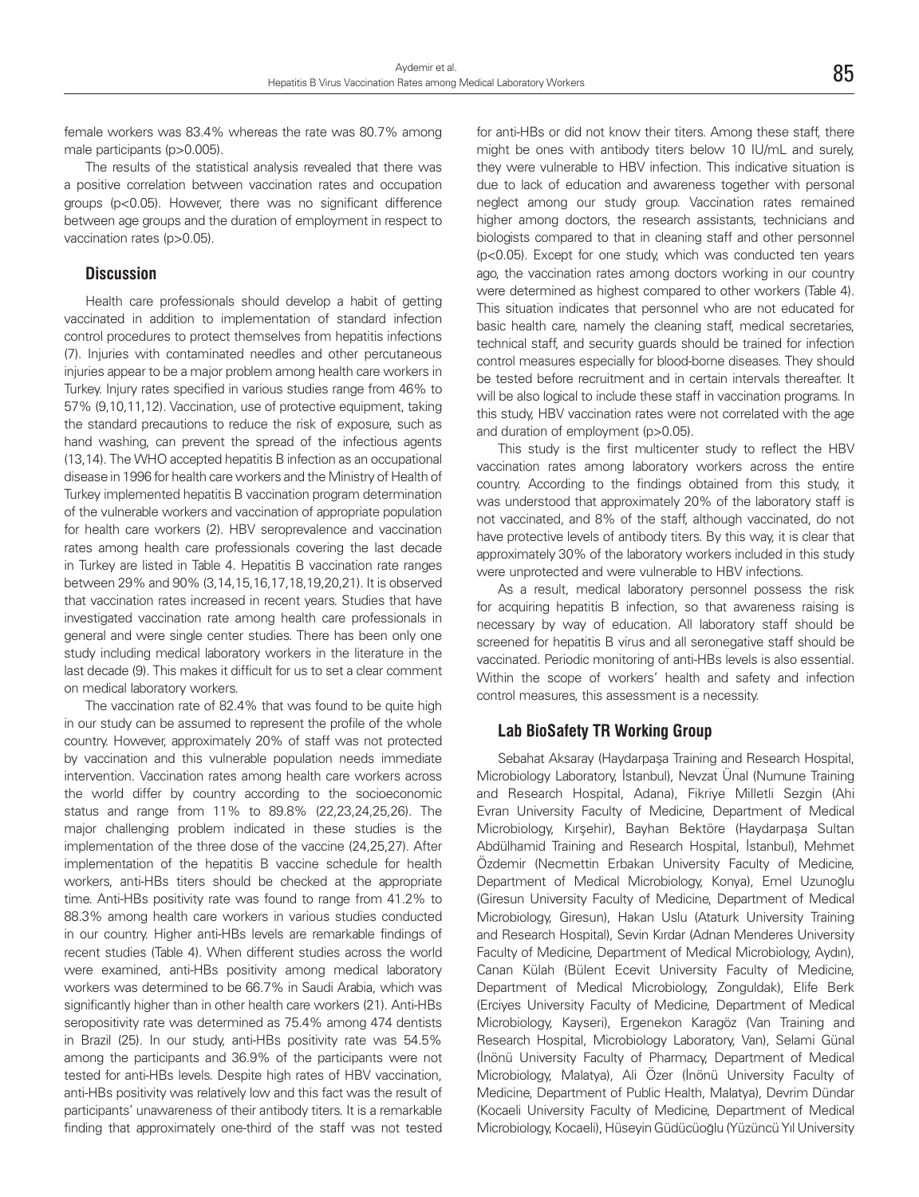female workers was 83.4% whereas the rate was 80.7% among male participants (p>0.005).

The results of the statistical analysis revealed that there was a positive correlation between vaccination rates and occupation groups (p<0.05). However, there was no significant difference between age groups and the duration of employment in respect to vaccination rates (p>0.05).

### **Discussion**

Health care professionals should develop a habit of getting vaccinated in addition to implementation of standard infection control procedures to protect themselves from hepatitis infections (7). Injuries with contaminated needles and other percutaneous injuries appear to be a major problem among health care workers in Turkey. Injury rates specified in various studies range from 46% to 57% (9,10,11,12). Vaccination, use of protective equipment, taking the standard precautions to reduce the risk of exposure, such as hand washing, can prevent the spread of the infectious agents (13,14). The WHO accepted hepatitis B infection as an occupational disease in 1996 for health care workers and the Ministry of Health of Turkey implemented hepatitis B vaccination program determination of the vulnerable workers and vaccination of appropriate population for health care workers (2). HBV seroprevalence and vaccination rates among health care professionals covering the last decade in Turkey are listed in Table 4. Hepatitis B vaccination rate ranges between 29% and 90% (3,14,15,16,17,18,19,20,21). It is observed that vaccination rates increased in recent years. Studies that have investigated vaccination rate among health care professionals in general and were single center studies. There has been only one study including medical laboratory workers in the literature in the last decade (9). This makes it difficult for us to set a clear comment on medical laboratory workers.

The vaccination rate of 82.4% that was found to be quite high in our study can be assumed to represent the profile of the whole country. However, approximately 20% of staff was not protected by vaccination and this vulnerable population needs immediate intervention. Vaccination rates among health care workers across the world differ by country according to the socioeconomic status and range from 11% to 89.8% (22,23,24,25,26). The major challenging problem indicated in these studies is the implementation of the three dose of the vaccine (24,25,27). After implementation of the hepatitis B vaccine schedule for health workers, anti-HBs titers should be checked at the appropriate time. Anti-HBs positivity rate was found to range from 41.2% to 88.3% among health care workers in various studies conducted in our country. Higher anti-HBs levels are remarkable findings of recent studies (Table 4). When different studies across the world were examined, anti-HBs positivity among medical laboratory workers was determined to be 66.7% in Saudi Arabia, which was significantly higher than in other health care workers (21). Anti-HBs seropositivity rate was determined as 75.4% among 474 dentists in Brazil (25). In our study, anti-HBs positivity rate was 54.5% among the participants and 36.9% of the participants were not tested for anti-HBs levels. Despite high rates of HBV vaccination, anti-HBs positivity was relatively low and this fact was the result of participants' unawareness of their antibody titers. It is a remarkable finding that approximately one-third of the staff was not tested

for anti-HBs or did not know their titers. Among these staff, there might be ones with antibody titers below 10 IU/mL and surely, they were vulnerable to HBV infection. This indicative situation is due to lack of education and awareness together with personal neglect among our study group. Vaccination rates remained higher among doctors, the research assistants, technicians and biologists compared to that in cleaning staff and other personnel (p<0.05). Except for one study, which was conducted ten years ago, the vaccination rates among doctors working in our country were determined as highest compared to other workers (Table 4). This situation indicates that personnel who are not educated for basic health care, namely the cleaning staff, medical secretaries, technical staff, and security guards should be trained for infection control measures especially for blood-borne diseases. They should be tested before recruitment and in certain intervals thereafter. It will be also logical to include these staff in vaccination programs. In this study, HBV vaccination rates were not correlated with the age and duration of employment (p>0.05).

This study is the first multicenter study to reflect the HBV vaccination rates among laboratory workers across the entire country. According to the findings obtained from this study, it was understood that approximately 20% of the laboratory staff is not vaccinated, and 8% of the staff, although vaccinated, do not have protective levels of antibody titers. By this way, it is clear that approximately 30% of the laboratory workers included in this study were unprotected and were vulnerable to HBV infections.

As a result, medical laboratory personnel possess the risk for acquiring hepatitis B infection, so that awareness raising is necessary by way of education. All laboratory staff should be screened for hepatitis B virus and all seronegative staff should be vaccinated. Periodic monitoring of anti-HBs levels is also essential. Within the scope of workers' health and safety and infection control measures, this assessment is a necessity.

## **Lab BioSafety TR Working Group**

Sebahat Aksaray (Haydarpaşa Training and Research Hospital, Microbiology Laboratory, İstanbul), Nevzat Ünal (Numune Training and Research Hospital, Adana), Fikriye Milletli Sezgin (Ahi Evran University Faculty of Medicine, Department of Medical Microbiology, Kırşehir), Bayhan Bektöre (Haydarpaşa Sultan Abdülhamid Training and Research Hospital, İstanbul), Mehmet Özdemir (Necmettin Erbakan University Faculty of Medicine, Department of Medical Microbiology, Konya), Emel Uzunoğlu (Giresun University Faculty of Medicine, Department of Medical Microbiology, Giresun), Hakan Uslu (Ataturk University Training and Research Hospital), Sevin Kırdar (Adnan Menderes University Faculty of Medicine, Department of Medical Microbiology, Aydın), Canan Külah (Bülent Ecevit University Faculty of Medicine, Department of Medical Microbiology, Zonguldak), Elife Berk (Erciyes University Faculty of Medicine, Department of Medical Microbiology, Kayseri), Ergenekon Karagöz (Van Training and Research Hospital, Microbiology Laboratory, Van), Selami Günal (İnönü University Faculty of Pharmacy, Department of Medical Microbiology, Malatya), Ali Özer (İnönü University Faculty of Medicine, Department of Public Health, Malatya), Devrim Dündar (Kocaeli University Faculty of Medicine, Department of Medical Microbiology, Kocaeli), Hüseyin Güdücüoğlu (Yüzüncü Yıl University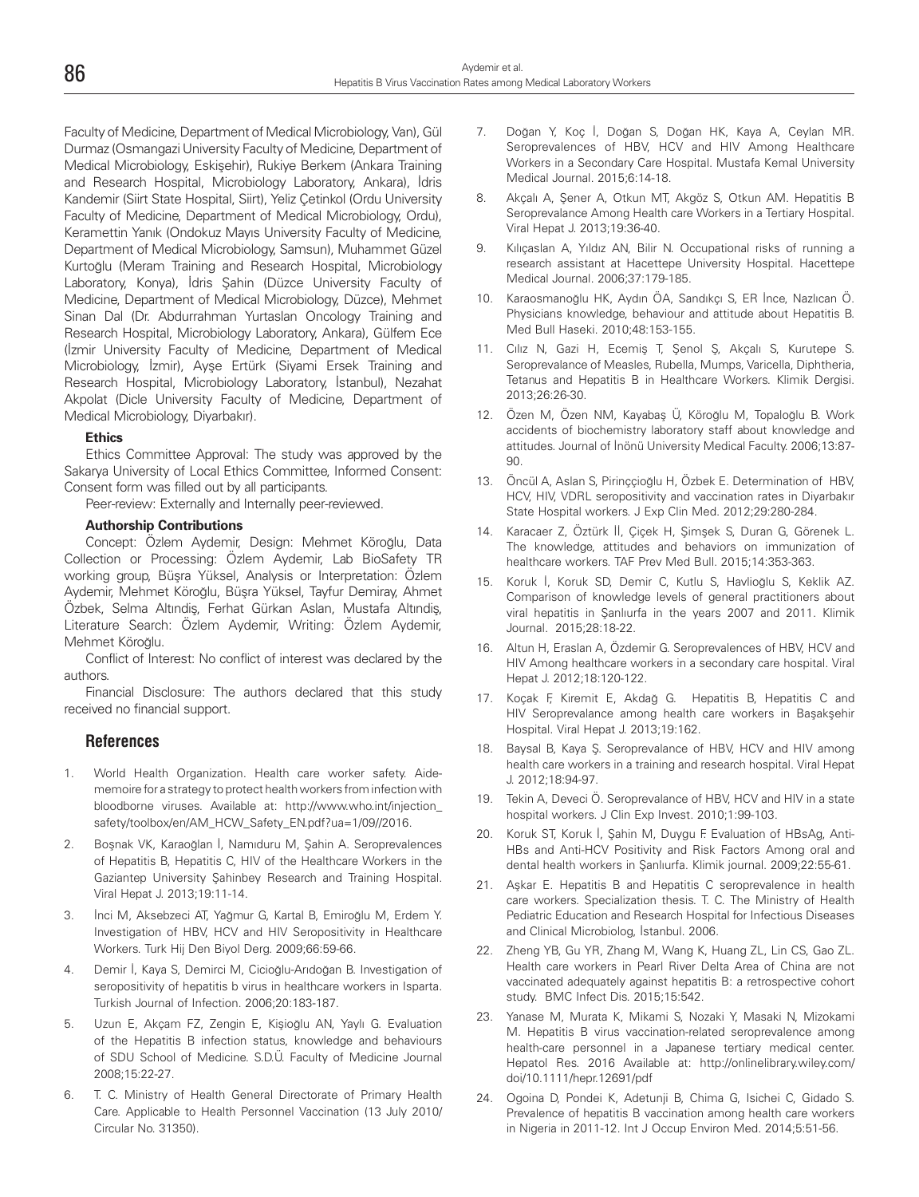Faculty of Medicine, Department of Medical Microbiology, Van), Gül Durmaz (Osmangazi University Faculty of Medicine, Department of Medical Microbiology, Eskişehir), Rukiye Berkem (Ankara Training and Research Hospital, Microbiology Laboratory, Ankara), İdris Kandemir (Siirt State Hospital, Siirt), Yeliz Çetinkol (Ordu University Faculty of Medicine, Department of Medical Microbiology, Ordu), Keramettin Yanık (Ondokuz Mayıs University Faculty of Medicine, Department of Medical Microbiology, Samsun), Muhammet Güzel Kurtoğlu (Meram Training and Research Hospital, Microbiology Laboratory, Konya), İdris Şahin (Düzce University Faculty of Medicine, Department of Medical Microbiology, Düzce), Mehmet Sinan Dal (Dr. Abdurrahman Yurtaslan Oncology Training and Research Hospital, Microbiology Laboratory, Ankara), Gülfem Ece (İzmir University Faculty of Medicine, Department of Medical Microbiology, İzmir), Ayşe Ertürk (Siyami Ersek Training and Research Hospital, Microbiology Laboratory, İstanbul), Nezahat Akpolat (Dicle University Faculty of Medicine, Department of Medical Microbiology, Diyarbakır).

#### **Ethics**

Ethics Committee Approval: The study was approved by the Sakarya University of Local Ethics Committee, Informed Consent: Consent form was filled out by all participants.

Peer-review: Externally and Internally peer-reviewed.

#### **Authorship Contributions**

Concept: Özlem Aydemir, Design: Mehmet Köroğlu, Data Collection or Processing: Özlem Aydemir, Lab BioSafety TR working group, Büşra Yüksel, Analysis or Interpretation: Özlem Aydemir, Mehmet Köroğlu, Büşra Yüksel, Tayfur Demiray, Ahmet Özbek, Selma Altındiş, Ferhat Gürkan Aslan, Mustafa Altındiş, Literature Search: Özlem Aydemir, Writing: Özlem Aydemir, Mehmet Köroğlu.

Conflict of Interest: No conflict of interest was declared by the authors.

Financial Disclosure: The authors declared that this study received no financial support.

#### **References**

- 1. World Health Organization. Health care worker safety. Aidememoire for a strategy to protect health workers from infection with bloodborne viruses. Available at: http://www.who.int/injection\_ safety/toolbox/en/AM\_HCW\_Safety\_EN.pdf?ua=1/09//2016.
- 2. Boşnak VK, Karaoğlan İ, Namıduru M, Şahin A. Seroprevalences of Hepatitis B, Hepatitis C, HIV of the Healthcare Workers in the Gaziantep University Şahinbey Research and Training Hospital. Viral Hepat J. 2013;19:11-14.
- 3. İnci M, Aksebzeci AT, Yağmur G, Kartal B, Emiroğlu M, Erdem Y. Investigation of HBV, HCV and HIV Seropositivity in Healthcare Workers. Turk Hij Den Biyol Derg. 2009;66:59-66.
- 4. Demir İ, Kaya S, Demirci M, Cicioğlu-Arıdoğan B. Investigation of seropositivity of hepatitis b virus in healthcare workers in Isparta. Turkish Journal of Infection. 2006;20:183-187.
- 5. Uzun E, Akçam FZ, Zengin E, Kişioğlu AN, Yaylı G. Evaluation of the Hepatitis B infection status, knowledge and behaviours of SDU School of Medicine. S.D.Ü. Faculty of Medicine Journal 2008;15:22-27.
- 6. T. C. Ministry of Health General Directorate of Primary Health Care. Applicable to Health Personnel Vaccination (13 July 2010/ Circular No. 31350).
- 7. Doğan Y, Koç İ, Doğan S, Doğan HK, Kaya A, Ceylan MR. Seroprevalences of HBV, HCV and HIV Among Healthcare Workers in a Secondary Care Hospital. Mustafa Kemal University Medical Journal. 2015;6:14-18.
- 8. Akçalı A, Şener A, Otkun MT, Akgöz S, Otkun AM. Hepatitis B Seroprevalance Among Health care Workers in a Tertiary Hospital. Viral Hepat J. 2013;19:36-40.
- 9. Kılıçaslan A, Yıldız AN, Bilir N. Occupational risks of running a research assistant at Hacettepe University Hospital. Hacettepe Medical Journal. 2006;37:179-185.
- 10. Karaosmanoğlu HK, Aydın ÖA, Sandıkçı S, ER İnce, Nazlıcan Ö. Physicians knowledge, behaviour and attitude about Hepatitis B. Med Bull Haseki. 2010;48:153-155.
- 11. Cılız N, Gazi H, Ecemiş T, Şenol Ş, Akçalı S, Kurutepe S. Seroprevalance of Measles, Rubella, Mumps, Varicella, Diphtheria, Tetanus and Hepatitis B in Healthcare Workers. Klimik Dergisi. 2013;26:26-30.
- 12. Özen M, Özen NM, Kayabaş Ü, Köroğlu M, Topaloğlu B. Work accidents of biochemistry laboratory staff about knowledge and attitudes. Journal of İnönü University Medical Faculty. 2006;13:87- 90.
- 13. Öncül A, Aslan S, Pirinççioğlu H, Özbek E. Determination of HBV, HCV, HIV, VDRL seropositivity and vaccination rates in Diyarbakır State Hospital workers. J Exp Clin Med. 2012;29:280-284.
- 14. Karacaer Z, Öztürk İİ, Çiçek H, Şimşek S, Duran G, Görenek L. The knowledge, attitudes and behaviors on immunization of healthcare workers. TAF Prev Med Bull. 2015;14:353-363.
- 15. Koruk İ, Koruk SD, Demir C, Kutlu S, Havlioğlu S, Keklik AZ. Comparison of knowledge levels of general practitioners about viral hepatitis in Şanlıurfa in the years 2007 and 2011. Klimik Journal. 2015;28:18-22.
- 16. Altun H, Eraslan A, Özdemir G. Seroprevalences of HBV, HCV and HIV Among healthcare workers in a secondary care hospital. Viral Hepat J. 2012;18:120-122.
- 17. Koçak F, Kiremit E, Akdağ G. Hepatitis B, Hepatitis C and HIV Seroprevalance among health care workers in Başakşehir Hospital. Viral Hepat J. 2013;19:162.
- 18. Baysal B, Kaya Ş. Seroprevalance of HBV, HCV and HIV among health care workers in a training and research hospital. Viral Hepat J. 2012;18:94-97.
- 19. Tekin A, Deveci Ö. Seroprevalance of HBV, HCV and HIV in a state hospital workers. J Clin Exp Invest. 2010;1:99-103.
- 20. Koruk ST, Koruk İ, Şahin M, Duygu F. Evaluation of HBsAg, Anti-HBs and Anti-HCV Positivity and Risk Factors Among oral and dental health workers in Şanlıurfa. Klimik journal. 2009;22:55-61.
- 21. Aşkar E. Hepatitis B and Hepatitis C seroprevalence in health care workers. Specialization thesis. T. C. The Ministry of Health Pediatric Education and Research Hospital for Infectious Diseases and Clinical Microbiolog, İstanbul. 2006.
- 22. Zheng YB, Gu YR, Zhang M, Wang K, Huang ZL, Lin CS, Gao ZL. Health care workers in Pearl River Delta Area of China are not vaccinated adequately against hepatitis B: a retrospective cohort study. BMC Infect Dis. 2015;15:542.
- 23. Yanase M, Murata K, Mikami S, Nozaki Y, Masaki N, Mizokami M. Hepatitis B virus vaccination-related seroprevalence among health-care personnel in a Japanese tertiary medical center. Hepatol Res. 2016 Available at: http://onlinelibrary.wiley.com/ doi/10.1111/hepr.12691/pdf
- 24. Ogoina D, Pondei K, Adetunji B, Chima G, Isichei C, Gidado S. Prevalence of hepatitis B vaccination among health care workers in Nigeria in 2011-12. Int J Occup Environ Med. 2014;5:51-56.